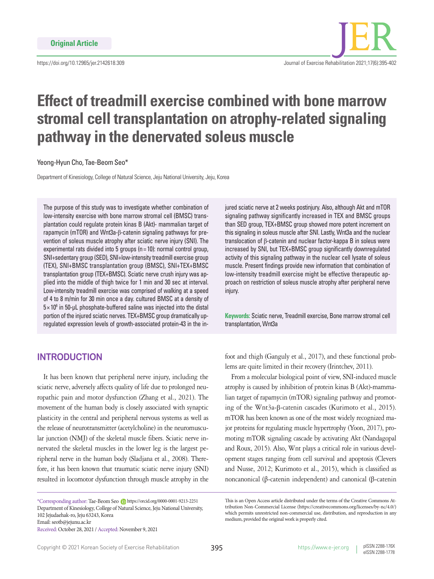

# **Effect of treadmill exercise combined with bone marrow stromal cell transplantation on atrophy-related signaling pathway in the denervated soleus muscle**

Yeong-Hyun Cho, Tae-Beom Seo\*

Department of Kinesiology, College of Natural Science, Jeju National University, Jeju, Korea

The purpose of this study was to investigate whether combination of low-intensity exercise with bone marrow stromal cell (BMSC) transplantation could regulate protein kinas B (Akt)- mammalian target of rapamycin (mTOR) and Wnt3a-β-catenin signaling pathways for prevention of soleus muscle atrophy after sciatic nerve injury (SNI). The experimental rats divided into 5 groups (n= 10): normal control group, SNI+sedentary group (SED), SNI+low-intensity treadmill exercise group (TEX), SNI+BMSC transplantation group (BMSC), SNI+TEX+BMSC transplantation group (TEX+BMSC). Sciatic nerve crush injury was applied into the middle of thigh twice for 1 min and 30 sec at interval. Low-intensity treadmill exercise was comprised of walking at a speed of 4 to 8 m/min for 30 min once a day. cultured BMSC at a density of  $5 \times 10^6$  in 50-µL phosphate-buffered saline was injected into the distal portion of the injured sciatic nerves. TEX+BMSC group dramatically upregulated expression levels of growth-associated protein-43 in the in-

jured sciatic nerve at 2 weeks postinjury. Also, although Akt and mTOR signaling pathway significantly increased in TEX and BMSC groups than SED group, TEX+BMSC group showed more potent increment on this signaling in soleus muscle after SNI. Lastly, Wnt3a and the nuclear translocation of β-catenin and nuclear factor-kappa B in soleus were increased by SNI, but TEX+BMSC group significantly downregulated activity of this signaling pathway in the nuclear cell lysate of soleus muscle. Present findings provide new information that combination of low-intensity treadmill exercise might be effective therapeutic approach on restriction of soleus muscle atrophy after peripheral nerve injury.

**Keywords:** Sciatic nerve, Treadmill exercise, Bone marrow stromal cell transplantation, Wnt3a

# **INTRODUCTION**

It has been known that peripheral nerve injury, including the sciatic nerve, adversely affects quality of life due to prolonged neuropathic pain and motor dysfunction (Zhang et al., 2021). The movement of the human body is closely associated with synaptic plasticity in the central and peripheral nervous systems as well as the release of neurotransmitter (acetylcholine) in the neuromuscular junction (NMJ) of the skeletal muscle fibers. Sciatic nerve innervated the skeletal muscles in the lower leg is the largest peripheral nerve in the human body (Sladjana et al., 2008). Therefore, it has been known that traumatic sciatic nerve injury (SNI) resulted in locomotor dysfunction through muscle atrophy in the

\*Corresponding author: Tae-Beom Seo https://orcid.org/0000-0001-9213-2251 Department of Kinesiology, College of Natural Science, Jeju National University, 102 Jejudaehak-ro, Jeju 63243, Korea Email: seotb@jejunu.ac.kr Received: October 28, 2021 / Accepted: November 9, 2021

foot and thigh (Ganguly et al., 2017), and these functional problems are quite limited in their recovery (Irintchev, 2011).

From a molecular biological point of view, SNI-induced muscle atrophy is caused by inhibition of protein kinas B (Akt)-mammalian target of rapamycin (mTOR) signaling pathway and promoting of the Wnt3a-β-catenin cascades (Kurimoto et al., 2015). mTOR has been known as one of the most widely recognized major proteins for regulating muscle hypertrophy (Yoon, 2017), promoting mTOR signaling cascade by activating Akt (Nandagopal and Roux, 2015). Also, Wnt plays a critical role in various development stages ranging from cell survival and apoptosis (Clevers and Nusse, 2012; Kurimoto et al., 2015), which is classified as noncanonical (β-catenin independent) and canonical (β-catenin

This is an Open Access article distributed under the terms of the Creative Commons Attribution Non-Commercial License (https://creativecommons.org/licenses/by-nc/4.0/) which permits unrestricted non-commercial use, distribution, and reproduction in any medium, provided the original work is properly cited.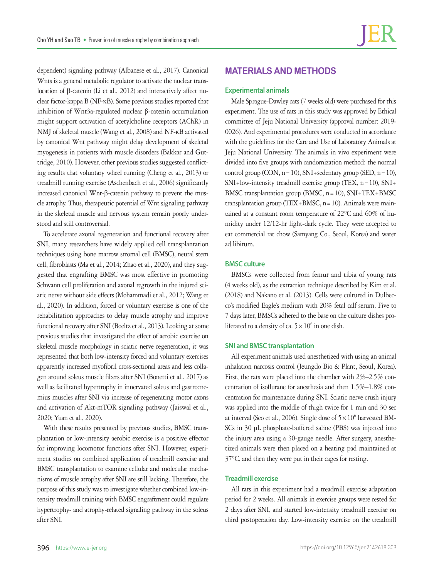dependent) signaling pathway (Albanese et al., 2017). Canonical Wnts is a general metabolic regulator to activate the nuclear translocation of β-catenin (Li et al., 2012) and interactively affect nuclear factor-kappa B (NF-κB). Some previous studies reported that inhibition of Wnt3a-regulated nuclear β-catenin accumulation might support activation of acetylcholine receptors (AChR) in NMJ of skeletal muscle (Wang et al., 2008) and NF-κB activated by canonical Wnt pathway might delay development of skeletal myogenesis in patients with muscle disorders (Bakkar and Guttridge, 2010). However, other previous studies suggested conflicting results that voluntary wheel running (Cheng et al., 2013) or treadmill running exercise (Aschenbach et al., 2006) significantly increased canonical Wnt-β-catenin pathway to prevent the muscle atrophy. Thus, therapeutic potential of Wnt signaling pathway in the skeletal muscle and nervous system remain poorly understood and still controversial.

To accelerate axonal regeneration and functional recovery after SNI, many researchers have widely applied cell transplantation techniques using bone marrow stromal cell (BMSC), neural stem cell, fibroblasts (Ma et al., 2014; Zhao et al., 2020), and they suggested that engrafting BMSC was most effective in promoting Schwann cell proliferation and axonal regrowth in the injured sciatic nerve without side effects (Mohammadi et al., 2012; Wang et al., 2020). In addition, forced or voluntary exercise is one of the rehabilitation approaches to delay muscle atrophy and improve functional recovery after SNI (Boeltz et al., 2013). Looking at some previous studies that investigated the effect of aerobic exercise on skeletal muscle morphology in sciatic nerve regeneration, it was represented that both low-intensity forced and voluntary exercises apparently increased myofibril cross-sectional areas and less collagen around soleus muscle fibers after SNI (Bonetti et al., 2017) as well as facilitated hypertrophy in innervated soleus and gastrocnemius muscles after SNI via increase of regenerating motor axons and activation of Akt-mTOR signaling pathway (Jaiswal et al., 2020; Yuan et al., 2020).

With these results presented by previous studies, BMSC transplantation or low-intensity aerobic exercise is a positive effector for improving locomotor functions after SNI. However, experiment studies on combined application of treadmill exercise and BMSC transplantation to examine cellular and molecular mechanisms of muscle atrophy after SNI are still lacking. Therefore, the purpose of this study was to investigate whether combined low-intensity treadmill training with BMSC engraftment could regulate hypertrophy- and atrophy-related signaling pathway in the soleus after SNI.

# **MATERIALS AND METHODS**

#### **Experimental animals**

Male Sprague-Dawley rats (7 weeks old) were purchased for this experiment. The use of rats in this study was approved by Ethical committee of Jeju National University (approval number: 2019- 0026). And experimental procedures were conducted in accordance with the guidelines for the Care and Use of Laboratory Animals at Jeju National University. The animals in vivo experiment were divided into five groups with randomization method: the normal control group (CON,  $n=10$ ), SNI+sedentary group (SED,  $n=10$ ),  $SNI+low-intensity$  treadmill exercise group (TEX,  $n=10$ ),  $SNI+$ BMSC transplantation group (BMSC, n=10), SNI+TEX+BMSC transplantation group (TEX+BMSC,  $n=10$ ). Animals were maintained at a constant room temperature of 22°C and 60% of humidity under 12/12-hr light-dark cycle. They were accepted to eat commercial rat chow (Samyang Co., Seoul, Korea) and water ad libitum.

## **BMSC culture**

BMSCs were collected from femur and tibia of young rats (4 weeks old), as the extraction technique described by Kim et al. (2018) and Nakano et al. (2013). Cells were cultured in Dulbecco's modified Eagle's medium with 20% fetal calf serum. Five to 7 days later, BMSCs adhered to the base on the culture dishes proliferated to a density of ca.  $5 \times 10^6$  in one dish.

## **SNI and BMSC transplantation**

All experiment animals used anesthetized with using an animal inhalation narcosis control (Jeungdo Bio & Plant, Seoul, Korea). First, the rats were placed into the chamber with 2%–2.5% concentration of isoflurane for anesthesia and then 1.5%–1.8% concentration for maintenance during SNI. Sciatic nerve crush injury was applied into the middle of thigh twice for 1 min and 30 sec at interval (Seo et al., 2006). Single dose of  $5 \times 10^6$  harvested BM-SCs in 30 μL phosphate-buffered saline (PBS) was injected into the injury area using a 30-gauge needle. After surgery, anesthetized animals were then placed on a heating pad maintained at 37°C, and then they were put in their cages for resting.

## **Treadmill exercise**

All rats in this experiment had a treadmill exercise adaptation period for 2 weeks. All animals in exercise groups were rested for 2 days after SNI, and started low-intensity treadmill exercise on third postoperation day. Low-intensity exercise on the treadmill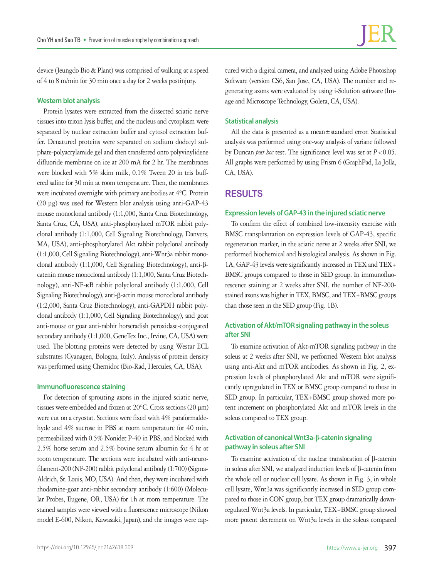device (Jeungdo Bio & Plant) was comprised of walking at a speed of 4 to 8 m/min for 30 min once a day for 2 weeks postinjury.

## **Western blot analysis**

Protein lysates were extracted from the dissected sciatic nerve tissues into triton lysis buffer, and the nucleus and cytoplasm were separated by nuclear extraction buffer and cytosol extraction buffer. Denatured proteins were separated on sodium dodecyl sulphate-polyacrylamide gel and then transferred onto polyvinylidene difluoride membrane on ice at 200 mA for 2 hr. The membranes were blocked with 5% skim milk, 0.1% Tween 20 in tris buffered saline for 30 min at room temperature. Then, the membranes were incubated overnight with primary antibodies at 4°C. Protein (20 μg) was used for Western blot analysis using anti-GAP-43 mouse monoclonal antibody (1:1,000, Santa Cruz Biotechnology, Santa Cruz, CA, USA), anti-phosphorylated mTOR rabbit polyclonal antibody (1:1,000, Cell Signaling Biotechnology, Danvers, MA, USA), anti-phosphorylated Akt rabbit polyclonal antibody (1:1,000, Cell Signaling Biotechnology), anti-Wnt3a rabbit monoclonal antibody (1:1,000, Cell Signaling Biotechnology), anti-βcatenin mouse monoclonal antibody (1:1,000, Santa Cruz Biotechnology), anti-NF-κB rabbit polyclonal antibody (1:1,000, Cell Signaling Biotechnology), anti-β-actin mouse monoclonal antibody (1:2,000, Santa Cruz Biotechnology), anti-GAPDH rabbit polyclonal antibody (1:1,000, Cell Signaling Biotechnology), and goat anti-mouse or goat anti-rabbit horseradish peroxidase-conjugated secondary antibody (1:1,000, GeneTex Inc., Irvine, CA, USA) were used. The blotting proteins were detected by using Westar ECL substrates (Cyanagen, Bologna, Italy). Analysis of protein density was performed using Chemidoc (Bio-Rad, Hercules, CA, USA).

## **Immunofluorescence staining**

For detection of sprouting axons in the injured sciatic nerve, tissues were embedded and frozen at 20°C. Cross sections (20 µm) were cut on a cryostat. Sections were fixed with 4% paraformaldehyde and 4% sucrose in PBS at room temperature for 40 min, permeabilized with 0.5% Nonidet P-40 in PBS, and blocked with 2.5% horse serum and 2.5% bovine serum albumin for 4 hr at room temperature. The sections were incubated with anti-neurofilament-200 (NF-200) rabbit polyclonal antibody (1:700) (Sigma-Aldrich, St. Louis, MO, USA). And then, they were incubated with rhodamine-goat anti-rabbit secondary antibody (1:600) (Molecular Probes, Eugene, OR, USA) for 1h at room temperature. The stained samples were viewed with a fluorescence microscope (Nikon model E-600, Nikon, Kawasaki, Japan), and the images were cap-

tured with a digital camera, and analyzed using Adobe Photoshop Software (version CS6, San Jose, CA, USA). The number and regenerating axons were evaluated by using i-Solution software (Image and Microscope Technology, Goleta, CA, USA).

## **Statistical analysis**

All the data is presented as a mean±standard error. Statistical analysis was performed using one-way analysis of variane followed by Duncan *post hoc* test. The significance level was set at  $P < 0.05$ . All graphs were performed by using Prism 6 (GraphPad, La Jolla, CA, USA).

## **RESULTS**

## **Expression levels of GAP-43 in the injured sciatic nerve**

To confirm the effect of combined low-intensity exercise with BMSC transplantation on expression levels of GAP-43, specific regeneration marker, in the sciatic nerve at 2 weeks after SNI, we performed biochemical and histological analysis. As shown in Fig. 1A, GAP-43 levels were significantly increased in TEX and TEX+ BMSC groups compared to those in SED group. In immunofluorescence staining at 2 weeks after SNI, the number of NF-200 stained axons was higher in TEX, BMSC, and TEX+BMSC groups than those seen in the SED group (Fig. 1B).

## **Activation of Akt/mTOR signaling pathway in the soleus after SNI**

To examine activation of Akt-mTOR signaling pathway in the soleus at 2 weeks after SNI, we performed Western blot analysis using anti-Akt and mTOR antibodies. As shown in Fig. 2, expression levels of phosphorylated Akt and mTOR were significantly upregulated in TEX or BMSC group compared to those in SED group. In particular, TEX+BMSC group showed more potent increment on phosphorylated Akt and mTOR levels in the soleus compared to TEX group.

## **Activation of canonical Wnt3a-β-catenin signaling pathway in soleus after SNI**

To examine activation of the nuclear translocation of β-catenin in soleus after SNI, we analyzed induction levels of β-catenin from the whole cell or nuclear cell lysate. As shown in Fig. 3, in whole cell lysate, Wnt3a was significantly increased in SED group compared to those in CON group, but TEX group dramatically downregulated Wnt3a levels. In particular, TEX+BMSC group showed more potent decrement on Wnt3a levels in the soleus compared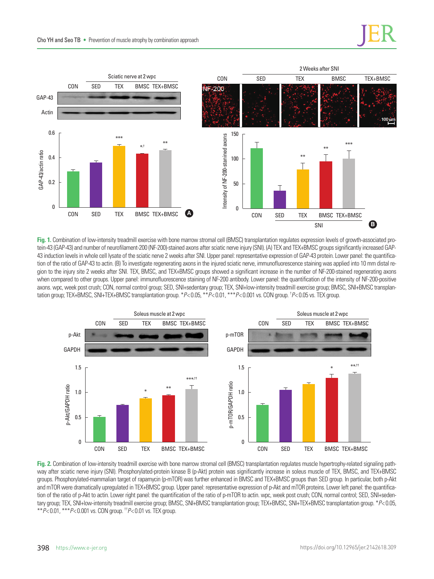

**Fig. 1.** Combination of low-intensity treadmill exercise with bone marrow stromal cell (BMSC) transplantation regulates expression levels of growth-associated protein-43 (GAP-43) and number of neurofilament-200 (NF-200)-stained axons after sciatic nerve injury (SNI). (A) TEX and TEX+BMSC groups significantly increased GAP-43 induction levels in whole cell lysate of the sciatic nerve 2 weeks after SNI. Upper panel: representative expression of GAP-43 protein. Lower panel: the quantification of the ratio of GAP-43 to actin. (B) To investigate regenerating axons in the injured sciatic nerve, immunofluorescence staining was applied into 10 mm distal region to the injury site 2 weeks after SNI. TEX, BMSC, and TEX+BMSC groups showed a significant increase in the number of NF-200-stained regenerating axons when compared to other groups. Upper panel: immunofluorescence staining of NF-200 antibody. Lower panel: the quantification of the intensity of NF-200-positive axons. wpc, week post crush; CON, normal control group; SED, SNI+sedentary group; TEX, SNI+low-intensity treadmill exercise group; BMSC, SNI+BMSC transplantation group; TEX+BMSC, SNI+TEX+BMSC transplantation group. \**P*< 0.05, \*\**P*< 0.01, \*\*\**P*< 0.001 vs. CON group. † *P*< 0.05 vs. TEX group.



**Fig. 2.** Combination of low-intensity treadmill exercise with bone marrow stromal cell (BMSC) transplantation regulates muscle hypertrophy-related signaling pathway after sciatic nerve injury (SNI). Phosphorylated-protein kinase B (p-Akt) protein was significantly increase in soleus muscle of TEX, BMSC, and TEX+BMSC groups. Phosphorylated-mammalian target of rapamycin (p-mTOR) was further enhanced in BMSC and TEX+BMSC groups than SED group. In particular, both p-Akt and mTOR were dramatically upregulated in TEX+BMSC group. Upper panel: representative expression of p-Akt and mTOR proteins. Lower left panel: the quantification of the ratio of p-Akt to actin. Lower right panel: the quantification of the ratio of p-mTOR to actin. wpc, week post crush; CON, normal control; SED, SNI+sedentary group; TEX, SNI+low-intensity treadmill exercise group; BMSC, SNI+BMSC transplantation group; TEX+BMSC, SNI+TEX+BMSC transplantation group. \**P*< 0.05, \*\**P*< 0.01, \*\*\**P*< 0.001 vs. CON group. ††*P*< 0.01 vs. TEX group.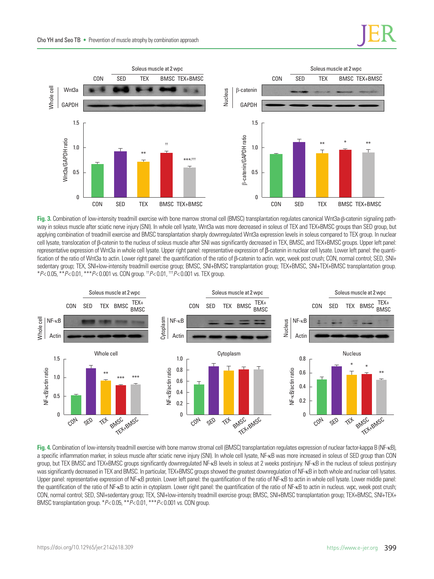

**Fig. 3.** Combination of low-intensity treadmill exercise with bone marrow stromal cell (BMSC) transplantation regulates canonical Wnt3a-β-catenin signaling pathway in soleus muscle after sciatic nerve injury (SNI). In whole cell lysate, Wnt3a was more decreased in soleus of TEX and TEX+BMSC groups than SED group, but applying combination of treadmill exercise and BMSC transplantation sharply downregulated Wnt3a expression levels in soleus compared to TEX group. In nuclear cell lysate, translocation of β-catenin to the nucleus of soleus muscle after SNI was significantly decreased in TEX, BMSC, and TEX+BMSC groups. Upper left panel: representative expression of Wnt3a in whole cell lysate. Upper right panel: representative expression of β-catenin in nuclear cell lysate. Lower left panel: the quantification of the ratio of Wnt3a to actin. Lower right panel: the quantification of the ratio of β-catenin to actin. wpc, week post crush; CON, normal control; SED, SNI+ sedentary group; TEX, SNI+low-intensity treadmill exercise group; BMSC, SNI+BMSC transplantation group; TEX+BMSC, SNI+TEX+BMSC transplantation group. \**P*< 0.05, \*\**P*< 0.01, \*\*\**P*< 0.001 vs. CON group. ††*P*< 0.01, †††*P*< 0.001 vs. TEX group.



**Fig. 4.** Combination of low-intensity treadmill exercise with bone marrow stromal cell (BMSC) transplantation regulates expression of nuclear factor-kappa B (NF-κB), a specific inflammation marker, in soleus muscle after sciatic nerve injury (SNI). In whole cell lysate, NF-κB was more increased in soleus of SED group than CON group, but TEX BMSC and TEX+BMSC groups significantly downregulated NF-κB levels in soleus at 2 weeks postinjury. NF-κB in the nucleus of soleus postinjury was significantly decreased in TEX and BMSC. In particular, TEX+BMSC groups showed the greatest downregulation of NF-κB in both whole and nuclear cell lysates. Upper panel: representative expression of NF-<sub>KB</sub> protein. Lower left panel: the quantification of the ratio of NF-<sub>KB</sub> to actin in whole cell lysate. Lower middle panel: the quantification of the ratio of NF-κB to actin in cytoplasm. Lower right panel: the quantification of the ratio of NF-κB to actin in nucleus. wpc, week post crush; CON, normal control; SED, SNI+sedentary group; TEX, SNI+low-intensity treadmill exercise group; BMSC, SNI+BMSC transplantation group; TEX+BMSC, SNI+TEX+ BMSC transplantation group. \**P*< 0.05, \*\**P*< 0.01, \*\*\**P*< 0.001 vs. CON group.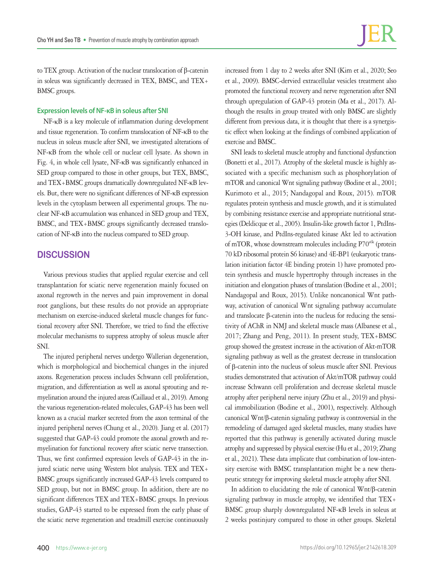to TEX group. Activation of the nuclear translocation of β-catenin in soleus was significantly decreased in TEX, BMSC, and TEX+ BMSC groups.

## **Expression levels of NF-κB in soleus after SNI**

NF-κB is a key molecule of inflammation during development and tissue regeneration. To confirm translocation of NF-κB to the nucleus in soleus muscle after SNI, we investigated alterations of NF-κB from the whole cell or nuclear cell lysate. As shown in Fig. 4, in whole cell lysate, NF-κB was significantly enhanced in SED group compared to those in other groups, but TEX, BMSC, and TEX+BMSC groups dramatically downregulated NF-κB levels. But, there were no significant differences of NF-κB expression levels in the cytoplasm between all experimental groups. The nuclear NF-κB accumulation was enhanced in SED group and TEX, BMSC, and TEX+BMSC groups significantly decreased translocation of NF-κB into the nucleus compared to SED group.

## **DISCUSSION**

Various previous studies that applied regular exercise and cell transplantation for sciatic nerve regeneration mainly focused on axonal regrowth in the nerves and pain improvement in dorsal root ganglions, but these results do not provide an appropriate mechanism on exercise-induced skeletal muscle changes for functional recovery after SNI. Therefore, we tried to find the effective molecular mechanisms to suppress atrophy of soleus muscle after SNI.

The injured peripheral nerves undergo Wallerian degeneration, which is morphological and biochemical changes in the injured axons. Regeneration process includes Schwann cell proliferation, migration, and differentiation as well as axonal sprouting and remyelination around the injured areas (Caillaud et al., 2019). Among the various regeneration-related molecules, GAP-43 has been well known as a crucial marker secreted from the axon terminal of the injured peripheral nerves (Chung et al., 2020). Jiang et al. (2017) suggested that GAP-43 could promote the axonal growth and remyelination for functional recovery after sciatic nerve transection. Thus, we first confirmed expression levels of GAP-43 in the injured sciatic nerve using Western blot analysis. TEX and TEX+ BMSC groups significantly increased GAP-43 levels compared to SED group, but not in BMSC group. In addition, there are no significant differences TEX and TEX+BMSC groups. In previous studies, GAP-43 started to be expressed from the early phase of the sciatic nerve regeneration and treadmill exercise continuously

increased from 1 day to 2 weeks after SNI (Kim et al., 2020; Seo et al., 2009). BMSC-dervied extracellular vesicles treatment also promoted the functional recovery and nerve regeneration after SNI through upregulation of GAP-43 protein (Ma et al., 2017). Although the results in group treated with only BMSC are slightly different from previous data, it is thought that there is a synergistic effect when looking at the findings of combined application of exercise and BMSC.

SNI leads to skeletal muscle atrophy and functional dysfunction (Bonetti et al., 2017). Atrophy of the skeletal muscle is highly associated with a specific mechanism such as phosphorylation of mTOR and canonical Wnt signaling pathway (Bodine et al., 2001; Kurimoto et al., 2015; Nandagopal and Roux, 2015). mTOR regulates protein synthesis and muscle growth, and it is stimulated by combining resistance exercise and appropriate nutritional strategies (Deldicque et al., 2005). Insulin-like growth factor 1, PtdIns-3-OH kinase, and PtdIns-regulated kinase Akt led to activation of mTOR, whose downstream molecules including P70<sup>s6k</sup> (protein 70 kD ribosomal protein S6 kinase) and 4E-BP1 (eukaryotic translation initiation factor 4E binding protein 1) have promoted protein synthesis and muscle hypertrophy through increases in the initiation and elongation phases of translation (Bodine et al., 2001; Nandagopal and Roux, 2015). Unlike noncanonical Wnt pathway, activation of canonical Wnt signaling pathway accumulate and translocate β-catenin into the nucleus for reducing the sensitivity of AChR in NMJ and skeletal muscle mass (Albanese et al., 2017; Zhang and Peng, 2011). In present study, TEX+BMSC group showed the greatest increase in the activation of Akt-mTOR signaling pathway as well as the greatest decrease in translocation of β-catenin into the nucleus of soleus muscle after SNI. Previous studies demonstrated that activation of Akt/mTOR pathway could increase Schwann cell proliferation and decrease skeletal muscle atrophy after peripheral nerve injury (Zhu et al., 2019) and physical immobilization (Bodine et al., 2001), respectively. Although canonical Wnt/β-catenin signaling pathway is controversial in the remodeling of damaged aged skeletal muscles, many studies have reported that this pathway is generally activated during muscle atrophy and suppressed by physical exercise (Hu et al., 2019; Zhang et al., 2021). These data implicate that combination of low-intensity exercise with BMSC transplantation might be a new therapeutic strategy for improving skeletal muscle atrophy after SNI.

In addition to elucidating the role of canonical Wnt/β-catenin signaling pathway in muscle atrophy, we identified that TEX+ BMSC group sharply downregulated NF-κB levels in soleus at 2 weeks postinjury compared to those in other groups. Skeletal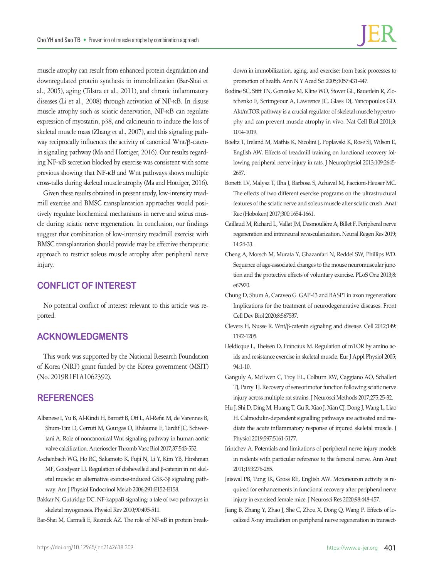muscle atrophy can result from enhanced protein degradation and downregulated protein synthesis in immobilization (Bar-Shai et al., 2005), aging (Tilstra et al., 2011), and chronic inflammatory diseases (Li et al., 2008) through activation of NF-κB. In disuse muscle atrophy such as sciatic denervation, NF-κB can regulate expression of myostatin, p38, and calcineurin to induce the loss of skeletal muscle mass (Zhang et al., 2007), and this signaling pathway reciprocally influences the activity of canonical Wnt/β-catenin signaling pathway (Ma and Hottiger, 2016). Our results regarding NF-κB secretion blocked by exercise was consistent with some previous showing that NF-κB and Wnt pathways shows multiple cross-talks during skeletal muscle atrophy (Ma and Hottiger, 2016).

Given these results obtained in present study, low-intensity treadmill exercise and BMSC transplantation approaches would positively regulate biochemical mechanisms in nerve and soleus muscle during sciatic nerve regeneration. In conclusion, our findings suggest that combination of low-intensity treadmill exercise with BMSC transplantation should provide may be effective therapeutic approach to restrict soleus muscle atrophy after peripheral nerve injury.

# **CONFLICT OF INTEREST**

No potential conflict of interest relevant to this article was reported.

# **ACKNOWLEDGMENTS**

This work was supported by the National Research Foundation of Korea (NRF) grant funded by the Korea government (MSIT) (No. 2019R1F1A1062392).

## **REFERENCES**

- Albanese I, Yu B, Al-Kindi H, Barratt B, Ott L, Al-Refai M, de Varennes B, Shum-Tim D, Cerruti M, Gourgas O, Rhéaume E, Tardif JC, Schwertani A. Role of noncanonical Wnt signaling pathway in human aortic valve calcification. Arterioscler Thromb Vasc Biol 2017;37:543-552.
- Aschenbach WG, Ho RC, Sakamoto K, Fujii N, Li Y, Kim YB, Hirshman MF, Goodyear LJ. Regulation of dishevelled and β-catenin in rat skeletal muscle: an alternative exercise-induced GSK-3β signaling pathway. Am J Physiol Endocrinol Metab 2006;291:E152-E158.
- Bakkar N, Guttridge DC. NF-kappaB signaling: a tale of two pathways in skeletal myogenesis. Physiol Rev 2010;90:495-511.

Bar-Shai M, Carmeli E, Reznick AZ. The role of NF-κB in protein break-

down in immobilization, aging, and exercise: from basic processes to promotion of health. Ann N Y Acad Sci 2005;1057:431-447.

- Bodine SC, Stitt TN, Gonzalez M, Kline WO, Stover GL, Bauerlein R, Zlotchenko E, Scrimgeour A, Lawrence JC, Glass DJ, Yancopoulos GD. Akt/mTOR pathway is a crucial regulator of skeletal muscle hypertrophy and can prevent muscle atrophy in vivo. Nat Cell Biol 2001;3: 1014-1019.
- Boeltz T, Ireland M, Mathis K, Nicolini J, Poplavski K, Rose SJ, Wilson E, English AW. Effects of treadmill training on functional recovery following peripheral nerve injury in rats. J Neurophysiol 2013;109:2645- 2657.
- Bonetti LV, Malysz T, Ilha J, Barbosa S, Achaval M, Faccioni-Heuser MC. The effects of two different exercise programs on the ultrastructural features of the sciatic nerve and soleus muscle after sciatic crush. Anat Rec (Hoboken) 2017;300:1654-1661.
- Caillaud M, Richard L, Vallat JM, Desmoulière A, Billet F. Peripheral nerve regeneration and intraneural revascularization. Neural Regen Res 2019; 14:24-33.
- Cheng A, Morsch M, Murata Y, Ghazanfari N, Reddel SW, Phillips WD. Sequence of age-associated changes to the mouse neuromuscular junction and the protective effects of voluntary exercise. PLoS One 2013;8: e67970.
- Chung D, Shum A, Caraveo G. GAP-43 and BASP1 in axon regeneration: Implications for the treatment of neurodegenerative diseases. Front Cell Dev Biol 2020;8:567537.
- Clevers H, Nusse R. Wnt/β-catenin signaling and disease. Cell 2012;149: 1192-1205.
- Deldicque L, Theisen D, Francaux M. Regulation of mTOR by amino acids and resistance exercise in skeletal muscle. Eur J Appl Physiol 2005; 94:1-10.
- Ganguly A, McEwen C, Troy EL, Colburn RW, Caggiano AO, Schallert TJ, Parry TJ. Recovery of sensorimotor function following sciatic nerve injury across multiple rat strains. J Neurosci Methods 2017;275:25-32.
- Hu J, Shi D, Ding M, Huang T, Gu R, Xiao J, Xian CJ, Dong J, Wang L, Liao H. Calmodulin-dependent signalling pathways are activated and mediate the acute inflammatory response of injured skeletal muscle. J Physiol 2019;597:5161-5177.
- Irintchev A. Potentials and limitations of peripheral nerve injury models in rodents with particular reference to the femoral nerve. Ann Anat 2011;193:276-285.
- Jaiswal PB, Tung JK, Gross RE, English AW. Motoneuron activity is required for enhancements in functional recovery after peripheral nerve injury in exercised female mice. J Neurosci Res 2020;98:448-457.
- Jiang B, Zhang Y, Zhao J, She C, Zhou X, Dong Q, Wang P. Effects of localized X-ray irradiation on peripheral nerve regeneration in transect-